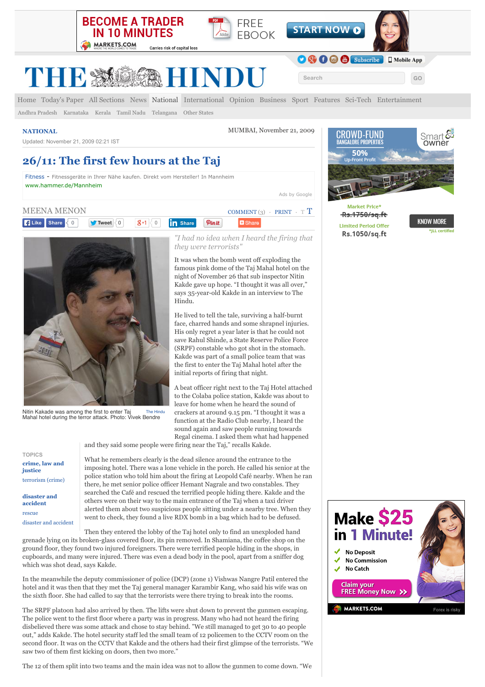

Carries risk of capital loss





**Search GO**

O C C C Subscribe | I Mobile App

THES

[Home](http://www.thehindu.com/) [Today's Paper](http://www.thehindu.com/todays-paper/) [All Sections](http://www.thehindu.com/news/national/2611-the-first-few-hours-at-the-taj/article52164.ece#) [News](http://www.thehindu.com/news/) [National](http://www.thehindu.com/news/national/) [International](http://www.thehindu.com/news/international/) [Opinion](http://www.thehindu.com/opinion/) [Business](http://www.thehindu.com/business/) [Sport](http://www.thehindu.com/sport/) [Features](http://www.thehindu.com/features/) [Sci-Tech](http://www.thehindu.com/sci-tech/) [Entertainment](http://www.thehindu.com/entertainment/)

[Andhra Pradesh](http://www.thehindu.com/news/national/andhra-pradesh/) [Karnataka](http://www.thehindu.com/news/national/karnataka/) [Kerala](http://www.thehindu.com/news/national/kerala/) [Tamil Nadu](http://www.thehindu.com/news/national/tamil-nadu/) [Telangana](http://www.thehindu.com/news/national/telangana/) [Other States](http://www.thehindu.com/news/national/other-states/)

Updated: November 21, 2009 02:21 IST

**[NATIONAL](http://www.thehindu.com/news/national/)** MUMBAI, November 21, 2009

# **26/11: The first few hours at the Taj**

[Fitness](http://www.googleadservices.com/pagead/aclk?sa=L&ai=CB4OavILDVcnKK82oYMyBiNgOvb6P7QjttqfhwAHAjbcBEAEgvYO_E2CVuq6CtAegAdOtgccDyAEBqQIv66D370ayPqgDAaoEtAFP0CXiYDf1Fh27HpNo7LkTTj1nv3BqJBBsR-iD6Z4s5GMPrzHC7CoKqH2pNGABkEbZzUUnHruWtRa9vbOrWmEeiRnrfJ7iu2nWk0IZ-B65ITZo12zY9uZhkbLllOTLYGkwdOZPkA5zhBVCs1zCzJ-WIHC_IY2wqZvtwfc6q1TaLtPfJmtvxbfkyEjV17uvasNpkCqoMmHNUUcmU6scuyip6MI0EeMhYWCl5stgW6ti1ZpKbb2IBgGAB5XS_jioB6a-G9gHAQ&num=1&cid=5Ggcgb78zQyKXnKw9Cj4GKyN&sig=AOD64_0fLpYzDJpXgdoKKzXaa_HoNH5ZoA&client=ca-hindu_site_html&adurl=http://ssl.hurra.com/TrackIt%3Ftid%3D10025772C3753PPC%26dev%3Dc%26url%3D%5B%5Bhttp://www.hammer.de/hammer-factory-store-muenchen%5D%5D%26sempro_st%3D%26sempro_ad%3D16661551301,mc%3D,,584301,c,,CONTENT,fitness,www.thehindu.com%26sempro_kw%3D%26sempro_gen%3D%5B%5Bcampaignid:164846253!!adgroupid:8716721253!!feeditemid:!!targetid:kwd-11587671!!loc_physical_ms:9044634!!loc_interest_ms:%5D%5D) - Fitnessgeräte in Ihrer Nähe kaufen. Direkt vom Hersteller! In Mannheim [www.hammer.de/Mannheim](http://www.googleadservices.com/pagead/aclk?sa=L&ai=CB4OavILDVcnKK82oYMyBiNgOvb6P7QjttqfhwAHAjbcBEAEgvYO_E2CVuq6CtAegAdOtgccDyAEBqQIv66D370ayPqgDAaoEtAFP0CXiYDf1Fh27HpNo7LkTTj1nv3BqJBBsR-iD6Z4s5GMPrzHC7CoKqH2pNGABkEbZzUUnHruWtRa9vbOrWmEeiRnrfJ7iu2nWk0IZ-B65ITZo12zY9uZhkbLllOTLYGkwdOZPkA5zhBVCs1zCzJ-WIHC_IY2wqZvtwfc6q1TaLtPfJmtvxbfkyEjV17uvasNpkCqoMmHNUUcmU6scuyip6MI0EeMhYWCl5stgW6ti1ZpKbb2IBgGAB5XS_jioB6a-G9gHAQ&num=1&cid=5Ggcgb78zQyKXnKw9Cj4GKyN&sig=AOD64_0fLpYzDJpXgdoKKzXaa_HoNH5ZoA&client=ca-hindu_site_html&adurl=http://ssl.hurra.com/TrackIt%3Ftid%3D10025772C3753PPC%26dev%3Dc%26url%3D%5B%5Bhttp://www.hammer.de/hammer-factory-store-muenchen%5D%5D%26sempro_st%3D%26sempro_ad%3D16661551301,mc%3D,,584301,c,,CONTENT,fitness,www.thehindu.com%26sempro_kw%3D%26sempro_gen%3D%5B%5Bcampaignid:164846253!!adgroupid:8716721253!!feeditemid:!!targetid:kwd-11587671!!loc_physical_ms:9044634!!loc_interest_ms:%5D%5D)

[Ads by Google](https://www.google.com/url?ct=abg&q=https://www.google.com/adsense/support/bin/request.py%3Fcontact%3Dabg_afc%26url%3Dhttp://www.thehindu.com/news/national/2611-the-first-few-hours-at-the-taj/article52164.ece%26gl%3DDE%26hl%3Den%26client%3Dca-hindu_site_html%26hideleadgen%3D1%26ai0%3DCB4OavILDVcnKK82oYMyBiNgOvb6P7QjttqfhwAHAjbcBEAEgvYO_E2CVuq6CtAegAdOtgccDyAEBqQIv66D370ayPqgDAaoEtAFP0CXiYDf1Fh27HpNo7LkTTj1nv3BqJBBsR-iD6Z4s5GMPrzHC7CoKqH2pNGABkEbZzUUnHruWtRa9vbOrWmEeiRnrfJ7iu2nWk0IZ-B65ITZo12zY9uZhkbLllOTLYGkwdOZPkA5zhBVCs1zCzJ-WIHC_IY2wqZvtwfc6q1TaLtPfJmtvxbfkyEjV17uvasNpkCqoMmHNUUcmU6scuyip6MI0EeMhYWCl5stgW6ti1ZpKbb2IBgGAB5XS_jioB6a-G9gHAQ&usg=AFQjCNGlZtXh2RHT214pAQI9wg127ih-EQ)





Nitin Kakade was among the first to enter Taj Mahal hotel during the terror attack. Photo: Vivek Bendre The Hindu

**[crime, law and](http://www.thehindu.com/tag/crime-law-and-justice/600/) justice** [terrorism \(crime\)](http://www.thehindu.com/tag/terrorism-crime/644/) **TOPICS**

**[disaster and](http://www.thehindu.com/tag/disaster-and-accident/651/) accident** [rescue](http://www.thehindu.com/tag/rescue/676/) [disaster and accident](http://www.thehindu.com/tag/disaster-and-accident/651/) *"I had no idea when I heard the firing that they were terrorists"*

It was when the bomb went off exploding the famous pink dome of the Taj Mahal hotel on the night of November 26 that sub inspector Nitin Kakde gave up hope. "I thought it was all over," says 35-year-old Kakde in an interview to The Hindu.

He lived to tell the tale, surviving a half-burnt face, charred hands and some shrapnel injuries. His only regret a year later is that he could not save Rahul Shinde, a State Reserve Police Force (SRPF) constable who got shot in the stomach. Kakde was part of a small police team that was the first to enter the Taj Mahal hotel after the initial reports of firing that night.

A beat officer right next to the Taj Hotel attached to the Colaba police station, Kakde was about to leave for home when he heard the sound of crackers at around 9.15 pm. "I thought it was a function at the Radio Club nearby, I heard the sound again and saw people running towards Regal cinema. I asked them what had happened

and they said some people were firing near the Taj," recalls Kakde.

What he remembers clearly is the dead silence around the entrance to the imposing hotel. There was a lone vehicle in the porch. He called his senior at the police station who told him about the firing at Leopold Café nearby. When he ran there, he met senior police officer Hemant Nagrale and two constables. They searched the Café and rescued the terrified people hiding there. Kakde and the others were on their way to the main entrance of the Taj when a taxi driver alerted them about two suspicious people sitting under a nearby tree. When they went to check, they found a live RDX bomb in a bag which had to be defused.

Then they entered the lobby of the Taj hotel only to find an unexploded hand grenade lying on its broken-glass covered floor, its pin removed. In Shamiana, the coffee shop on the ground floor, they found two injured foreigners. There were terrified people hiding in the shops, in cupboards, and many were injured. There was even a dead body in the pool, apart from a sniffer dog which was shot dead, says Kakde.

In the meanwhile the deputy commissioner of police (DCP) (zone 1) Vishwas Nangre Patil entered the hotel and it was then that they met the Taj general manager Karambir Kang, who said his wife was on the sixth floor. She had called to say that the terrorists were there trying to break into the rooms.

The SRPF platoon had also arrived by then. The lifts were shut down to prevent the gunmen escaping. The police went to the first floor where a party was in progress. Many who had not heard the firing disbelieved there was some attack and chose to stay behind. "We still managed to get 30 to 40 people out," adds Kakde. The hotel security staff led the small team of 12 policemen to the CCTV room on the second floor. It was on the CCTV that Kakde and the others had their first glimpse of the terrorists. "We saw two of them first kicking on doors, then two more."

The 12 of them split into two teams and the main idea was not to allow the gunmen to come down. "We



Market Price\* Rs.1750/sq.ft **Limited Period Offer** Rs.1050/sq.ft

**KNOW MORE ILL** certi

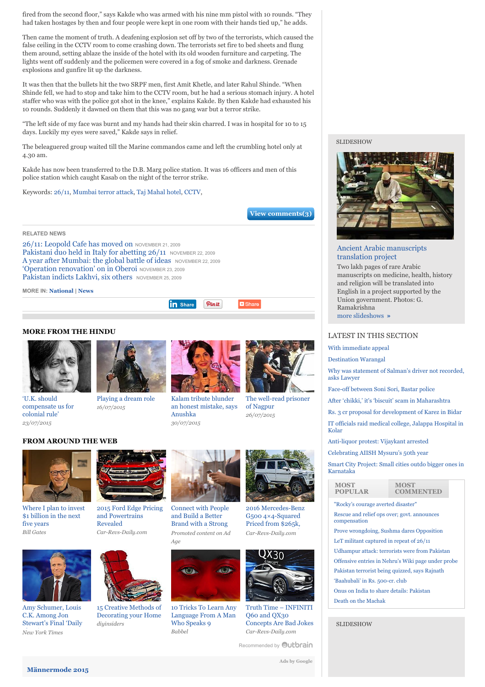fired from the second floor," says Kakde who was armed with his nine mm pistol with 10 rounds. "They had taken hostages by then and four people were kept in one room with their hands tied up," he adds.

Then came the moment of truth. A deafening explosion set off by two of the terrorists, which caused the false ceiling in the CCTV room to come crashing down. The terrorists set fire to bed sheets and flung them around, setting ablaze the inside of the hotel with its old wooden furniture and carpeting. The lights went off suddenly and the policemen were covered in a fog of smoke and darkness. Grenade explosions and gunfire lit up the darkness.

It was then that the bullets hit the two SRPF men, first Amit Khetle, and later Rahul Shinde. "When Shinde fell, we had to stop and take him to the CCTV room, but he had a serious stomach injury. A hotel staffer who was with the police got shot in the knee," explains Kakde. By then Kakde had exhausted his 10 rounds. Suddenly it dawned on them that this was no gang war but a terror strike.

"The left side of my face was burnt and my hands had their skin charred. I was in hospital for 10 to 15 days. Luckily my eyes were saved," Kakde says in relief.

The beleaguered group waited till the Marine commandos came and left the crumbling hotel only at 4.30 am.

Kakde has now been transferred to the D.B. Marg police station. It was 16 officers and men of this police station which caught Kasab on the night of the terror strike.

Keywords: [26/11](http://www.thehindu.com/news/national/2611-the-first-few-hours-at-the-taj/article52164.ece#), [Mumbai terror attack, Taj Mahal hotel](http://www.thehindu.com/news/national/2611-the-first-few-hours-at-the-taj/article52164.ece#), [CCTV](http://www.thehindu.com/news/national/2611-the-first-few-hours-at-the-taj/article52164.ece#),

**[View comments\(3\)](http://www.thehindu.com/news/national/2611-the-first-few-hours-at-the-taj/article52164.ece#comments)**

**RELATED NEWS**

[26/11: Leopold Cafe has moved on](http://www.thehindu.com/news/national/2611-leopold-cafe-has-moved-on/article52663.ece?ref=relatedNews) NOVEMBER 21, 2009 Pakistani duo held in Italy for abetting  $26/11$  NOVEMBER 22, 2009 [A year after Mumbai: the global battle of ideas](http://www.thehindu.com/opinion/op-ed/a-year-after-mumbai-the-global-battle-of-ideas/article53160.ece?ref=relatedNews) NOVEMBER 22, 2009 ['Operation renovation' on in Oberoi](http://www.thehindu.com/news/national/operation-renovation-on-in-oberoi/article53213.ece?ref=relatedNews) NOVEMBER 23, 2009 [Pakistan indicts Lakhvi, six others](http://www.thehindu.com/news/national/pakistan-indicts-lakhvi-six-others/article54664.ece?ref=relatedNews) NOVEMBER 25, 2009

**MORE IN: [National](http://www.thehindu.com/news/national/) | [News](http://www.thehindu.com/news/)**

**MORE FROM THE HINDU**



'U.K. should [compensate us for](http://www.thehindu.com/todays-paper/tp-national/uk-should-compensate-us-for-colonial-rule/article7453711.ece) colonial rule' *23/07/2015*



[Playing a dream role](http://www.thehindu.com/features/metroplus/playing-a-dream-role/article7430280.ece) *16/07/2015*



Pinit

**D** Share

**in** [Share](javascript:void(0);)

Kalam tribute blunder [an honest mistake, says](http://www.thehindu.com/entertainment/kalam-tribute-blunder-an-honest-mistake-says-anushka/article7480763.ece) Anushka *30/07/2015*



# **FROM AROUND THE WEB**



[Where I plan to invest](http://www.gatesnotes.com/Energy/Energy-Innovation?WT.mc_id=07_29_2015_EnergyIntro_BG-OB&WT.tsrc=BGOB) \$1 billion in the next five years *Bill Gates*



[2015 Ford Edge Pricing](http://www.car-revs-daily.com/2015/02/07/2015-ford-edge-pricing/) and Powertrains Revealed *Car-Revs-Daily.com*



Amy Schumer, Louis C.K. Among Jon [Stewart's Final 'Daily](http://artsbeat.blogs.nytimes.com/2015/07/31/amy-schumer-louis-c-k-among-jon-stewarts-final-daily-show-guests/?WT.mc_id=2015-AUGUST-OTB-INTL_AUD_DEV-0801-0831&WT.mc_ev=click&ad-keywords=IntlAudDev) Show' Guests *New York Times*



15 Creative Methods of [Decorating your Home](http://www.diyinsiders.com/top-15-super-weird-furnishings-to-make-your-home-memorable/?utm_medium=weirdfurnish&utm_source=Outbrain&utm_campaign=image15) *diyinsiders*



[Connect with People](http://brandedcontent.adage.com/mic/outbrain/?utm_medium=sponsored-webpage&utm_source=adage-hub&utm_campaign=obamplify) and Build a Better Brand with a Strong Content Marketing *Promoted content on Ad* Strategy *Age*



[10 Tricks To Learn Any](http://www.babbel.com/en/magazine/10-tips-from-an-expert?slc=engmag-a1-vid-bv1-tipsandtricks-ob&utm_source=outbrain&utm_medium=cpc&utm_campaign=cd_engall_gen_cde_bv1_polyglot) Language From A Man Who Speaks 9 *Babbel*



G500 4×4-Squared Priced from \$265k, [Arriving In December](http://www.car-revs-daily.com/2015/07/11/2016-mercedes-benz-g500-4x4-squared/) *Car-Revs-Daily.com*



Truth Time – INFINITI Q60 and QX30 [Concepts Are Bad Jokes](http://www.car-revs-daily.com/2015/03/04/truth-time-infiniti-q60-and-qx30-concepts-are-bad-jokes/) *Car-Revs-Daily.com*

[Recommended by](http://www.thehindu.com/news/national/2611-the-first-few-hours-at-the-taj/article52164.ece#) **Outbrain** 

**SLIDESHOW** 



# [Ancient Arabic manuscripts](http://www.thehindu.com/news/national/telangana/rare-medieval-medical-texts-to-be-translated-into-english/article7491863.ece?ref=slideshow) translation project

Two lakh pages of rare Arabic manuscripts on medicine, health, history and religion will be translated into English in a project supported by the Union government. Photos: G. Ramakrishna [more slideshows](http://www.thehindu.com/news/national/telangana/rare-medieval-medical-texts-to-be-translated-into-english/article7491863.ece?ref=slideshow) **»**

# LATEST IN THIS SECTION

[With immediate appeal](http://www.thehindu.com/features/friday-review/with-immediate-appeal/article7507395.ece)

[Destination Warangal](http://www.thehindu.com/features/friday-review/history-and-culture/warangals-cultural-heritage-set-to-get-a-boost-under-hriday-project/article7507399.ece)

[Why was statement of Salman's driver not recorded,](http://www.thehindu.com/news/cities/mumbai/why-was-statement-of-salmans-driver-not-recorded-asks-lawyer/article7508346.ece) asks Lawyer

- [Face-off between Soni Sori, Bastar police](http://www.thehindu.com/news/national/other-states/faceoff-between-soni-sori-bastar-police/article7508268.ece)
- [After 'chikki,' it's 'biscuit' scam in Maharashtra](http://www.thehindu.com/news/national/other-states/after-chikki-its-biscuit-scam-in-maharashtra/article7508252.ece)
- [Rs. 3 cr proposal for development of Karez in Bidar](http://www.thehindu.com/news/national/karnataka/rs-3-cr-proposal-for-development-of-karez-in-bidar/article7508211.ece) [IT officials raid medical college, Jalappa Hospital in](http://www.thehindu.com/news/national/karnataka/it-officials-raid-medical-college-jalappa-hospital-in-kolar/article7508162.ece) Kolar
- [Anti-liquor protest: Vijaykant arrested](http://www.thehindu.com/news/national/tamil-nadu/dmdk-chief-party-cadres-arrested/article7508055.ece)
- [Celebrating AIISH Mysuru's 50th year](http://www.thehindu.com/news/national/karnataka/celebrating-aiish-mysurus-50th-birthday/article7508018.ece)

[Smart City Project: Small cities outdo bigger ones in](http://www.thehindu.com/news/national/karnataka/smart-city-project-small-cities-outdo-bigger-ones-in-karnataka/article7507970.ece) Karnataka

### **MOST POPULAR**

#### **MOST COMMENTED**

["Rocky's courage averted disaster"](http://www.thehindu.com/news/national/udhampur-attack-constable-rockys-courage-averted-disaster-says-bsf-dg-dk-pathak/article7507222.ece?utm_source=MostPopular&utm_medium=National&utm_campaign=WidgetPromo) [Rescue and relief ops over; govt. announces](http://www.thehindu.com/news/national/kamayani-express-derails-in-madhya-pradesh-some-bogies-fall-into-river/article7500311.ece?utm_source=MostPopular&utm_medium=National&utm_campaign=WidgetPromo) compensation

[Prove wrongdoing, Sushma dares Opposition](http://www.thehindu.com/news/national/live-congress-continues-protests-over-suspension-of-mps/article7506893.ece?utm_source=MostPopular&utm_medium=National&utm_campaign=WidgetPromo) [LeT militant captured in repeat of 26/11](http://www.thehindu.com/news/national/let-militant-captured-in-repeat-of-2611/article7504394.ece?utm_source=MostPopular&utm_medium=National&utm_campaign=WidgetPromo) [Udhampur attack: terrorists were from Pakistan](http://www.thehindu.com/news/national/other-states/terrorist-involved-in-udhampur-attack-caught-alive/article7503130.ece?utm_source=MostPopular&utm_medium=National&utm_campaign=WidgetPromo) [Offensive entries in Nehru's Wiki page under probe](http://www.thehindu.com/news/national/offensive-entries-in-nehrus-wiki-page-under-probe/article7504396.ece?utm_source=MostPopular&utm_medium=National&utm_campaign=WidgetPromo) [Pakistan terrorist being quizzed, says Rajnath](http://www.thehindu.com/news/national/pakistan-terrorist-being-quizzed-rajnath/article7507096.ece?utm_source=MostPopular&utm_medium=National&utm_campaign=WidgetPromo) ['Baahubali' in Rs. 500-cr. club](http://www.thehindu.com/news/national/andhra-pradesh/baahubali-in-rs-500cr-club/article7498417.ece?utm_source=MostPopular&utm_medium=National&utm_campaign=WidgetPromo) [Onus on India to share details: Pakistan](http://www.thehindu.com/news/national/onus-on-india-to-share-details-pakistan/article7504395.ece?utm_source=MostPopular&utm_medium=National&utm_campaign=WidgetPromo) [Death on the Machak](http://www.thehindu.com/news/national/other-states/in-pics-two-trains-derail-in-madhya-pradesh/article7503444.ece?ref=slideshow?utm_source=MostPopular&utm_medium=National&utm_campaign=WidgetPromo)

SLIDESHOW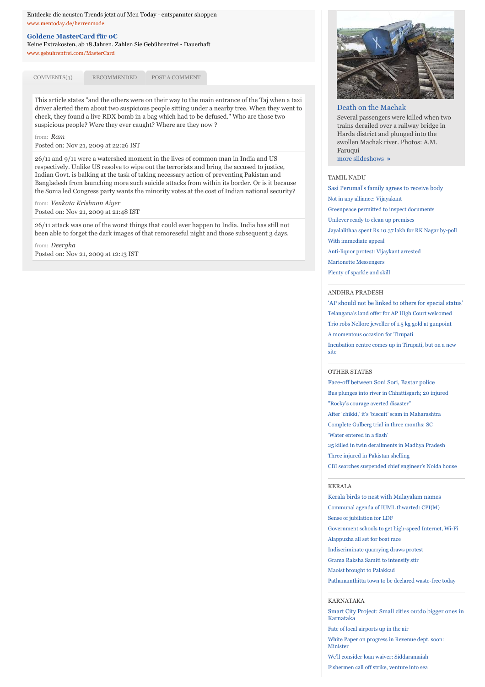#### Entdecke die neusten Trends jetzt auf Men Today - entspannter shoppen [www.mentoday.de/herrenmode](http://www.googleadservices.com/pagead/aclk?sa=L&ai=C_TL_vYLDVc6RB86vYuLyr4ABof6rjgXRzuadjgKtyv3fBRABIL2DvxMoAmCVuq6CtAegAZfGq9MDyAEBqQIv66D370ayPqgDAaoEtwFP0MToafXf9iffcwx8fHjfyzpWASMdtWZmT5HSbuJE28SnEVSs2fM7FRAuyZdG9LUC-dANqKIV-c74NcHoaTsx4UzcBeZowKomr98a0qCifhJz-rDP_YQxaRSft9AGKspsqiZxt4MJfSQswOVOPcHJuLubIAHsDUw3Lj6FbYcCBsbDLPy7Y6MY9Y6JgTMjYMPDH3NaACV9cyfIWlh_IKpyPuzxouNSBzeJ4kVaEkAhetmNE5Ta-6aIBgGAB9G51CyoB6a-G9gHAQ&num=1&cid=5GiGROGIksqF-51MqXhAvMMk&sig=AOD64_0od3Vj7yoTysFwn1_X8O6pLsk7Qw&client=ca-hindu_site_html&adurl=http://www.mentoday.de/c/herrenbekleidung/1/)

#### **[Goldene MasterCard für 0](http://www.googleadservices.com/pagead/aclk?sa=L&ai=CLpzYvYLDVc6RB86vYuLyr4AB7cDUgQfF5uqeIMCNtwEQAiC9g78TKAJglbqugrQHoAHhx8DuA8gBAakCL-ug9-9Gsj6oAwGqBLQBT9DU03v13PYn33MMfHx438s6VgEjHbVmZk-R0m7iRNvEpxFUrNnzOxUQLsmXRvS1AvnQDaiiFfnO-DXB6Gk7MeFM3AXmaMCqJq_fGtKgon4Sc_qwz_2EMWkUn7fQBirKbKomcbeDCX0kLMDlTj3Bybi7myAB7A1MNy4-hW2HAgbOw73MTaGnpCNnYhvp7IsbQNCY_arOi_0kdVkcwiPeoz3dIKHixwwXHOllrxdAwXp229Q1iAYBgAeHuL8RqAemvhvYBwE&num=2&cid=5GiGROGIksqF-51MqXhAvMMk&sig=AOD64_33m5bpbPBftgbmudavAmzPAkH2KQ&client=ca-hindu_site_html&adurl=http://www.gebuhrenfrei.com/index.php%3Fsite%3DGoogle-n%26ban%3DMasterCardGDNTextKroatisch)€**

Keine Extrakosten, ab 18 Jahren. Zahlen Sie Gebührenfrei - Dauerhaft [www.gebuhrenfrei.com/MasterCard](http://www.googleadservices.com/pagead/aclk?sa=L&ai=CLpzYvYLDVc6RB86vYuLyr4AB7cDUgQfF5uqeIMCNtwEQAiC9g78TKAJglbqugrQHoAHhx8DuA8gBAakCL-ug9-9Gsj6oAwGqBLQBT9DU03v13PYn33MMfHx438s6VgEjHbVmZk-R0m7iRNvEpxFUrNnzOxUQLsmXRvS1AvnQDaiiFfnO-DXB6Gk7MeFM3AXmaMCqJq_fGtKgon4Sc_qwz_2EMWkUn7fQBirKbKomcbeDCX0kLMDlTj3Bybi7myAB7A1MNy4-hW2HAgbOw73MTaGnpCNnYhvp7IsbQNCY_arOi_0kdVkcwiPeoz3dIKHixwwXHOllrxdAwXp229Q1iAYBgAeHuL8RqAemvhvYBwE&num=2&cid=5GiGROGIksqF-51MqXhAvMMk&sig=AOD64_33m5bpbPBftgbmudavAmzPAkH2KQ&client=ca-hindu_site_html&adurl=http://www.gebuhrenfrei.com/index.php%3Fsite%3DGoogle-n%26ban%3DMasterCardGDNTextKroatisch)

[COMMENTS\(3\)](javascript:void(0)) [RECOMMENDED](javascript:void(0)) [POST A COMMENT](javascript:void(0))

This article states "and the others were on their way to the main entrance of the Taj when a taxi driver alerted them about two suspicious people sitting under a nearby tree. When they went to check, they found a live RDX bomb in a bag which had to be defused." Who are those two suspicious people? Were they ever caught? Where are they now ?

#### from: *Ram*

Posted on: Nov 21, 2009 at 22:26 IST

26/11 and 9/11 were a watershed moment in the lives of common man in India and US respectively. Unlike US resolve to wipe out the terrorists and bring the accused to justice, Indian Govt. is balking at the task of taking necessary action of preventing Pakistan and Bangladesh from launching more such suicide attacks from within its border. Or is it because the Sonia led Congress party wants the minority votes at the cost of Indian national security?

Posted on: Nov 21, 2009 at 21:48 IST from: *Venkata Krishnan Aiyer*

26/11 attack was one of the worst things that could ever happen to India. India has still not been able to forget the dark images of that remoreseful night and those subsequent 3 days.

Posted on: Nov 21, 2009 at 12:13 IST from: *Deergha*



#### [Death on the Machak](http://www.thehindu.com/news/national/other-states/in-pics-two-trains-derail-in-madhya-pradesh/article7503444.ece?ref=slideshow)

Several passengers were killed when two trains derailed over a railway bridge in Harda district and plunged into the swollen Machak river. Photos: A.M. Faruqui [more slideshows](http://www.thehindu.com/news/national/other-states/in-pics-two-trains-derail-in-madhya-pradesh/article7503444.ece?ref=slideshow) **»**

#### [TAMIL NADU](http://www.thehindu.com/news/national/tamil-nadu/)

[Sasi Perumal's family agrees to receive body](http://www.thehindu.com/news/national/tamil-nadu/sasi-perumals-family-agrees-to-receive-body/article7507503.ece) [Not in any alliance: Vijayakant](http://www.thehindu.com/news/national/tamil-nadu/not-in-any-alliance-vijayakant/article7505415.ece) [Greenpeace permitted to inspect documents](http://www.thehindu.com/news/national/madras-high-court-permits-greenpeace-to-inspect-documents/article7506785.ece) [Unilever ready to clean up premises](http://www.thehindu.com/news/national/tamil-nadu/unilever-ready-to-clean-up-premises/article7505417.ece) [Jayalalithaa spent Rs.10.37 lakh for RK Nagar by-poll](http://www.thehindu.com/news/cities/chennai/jayalalithaa-spent-rs1037-lakh-for-rk-nagar-bypoll/article7505421.ece) [With immediate appeal](http://www.thehindu.com/features/friday-review/with-immediate-appeal/article7507395.ece) [Anti-liquor protest: Vijaykant arrested](http://www.thehindu.com/news/national/tamil-nadu/dmdk-chief-party-cadres-arrested/article7508055.ece) [Marionette Messengers](http://www.thehindu.com/arts/crafts/koreas-manetsangsahwa-theatre-company-tells-stories-using-puppets/article7507426.ece) [Plenty of sparkle and skill](http://www.thehindu.com/features/friday-review/dance/pollachi-tamilisai-sangam-a-dance-festival/article7507538.ece)

#### ANDHRA PRADESH

['AP should not be linked to others for special status'](http://www.thehindu.com/news/national/andhra-pradesh/ap-should-not-be-linked-to-others-for-special-status/article7505267.ece) [Telangana's land offer for AP High Court welcomed](http://www.thehindu.com/news/national/andhra-pradesh/telanganas-land-offer-for-ap-high-court-welcomed/article7506390.ece) [Trio robs Nellore jeweller of 1.5 kg gold at gunpoint](http://www.thehindu.com/news/national/andhra-pradesh/trio-robs-nellore-jeweller-of-15-kg-gold-at-gunpoint/article7505240.ece) [A momentous occasion for Tirupati](http://www.thehindu.com/news/national/andhra-pradesh/a-momentous-occasion-for-tirupati/article7505226.ece) [Incubation centre comes up in Tirupati, but on a new](http://www.thehindu.com/news/national/andhra-pradesh/incubation-centre-comes-up-in-tirupati-but-on-a-new-site/article7505246.ece) site

# OTHER STATES

[Face-off between Soni Sori, Bastar police](http://www.thehindu.com/news/national/other-states/faceoff-between-soni-sori-bastar-police/article7508268.ece) [Bus plunges into river in Chhattisgarh; 20 injured](http://www.thehindu.com/news/national/other-states/chhattisgarh-bus-accident/article7507138.ece) ["Rocky's courage averted disaster"](http://www.thehindu.com/news/national/udhampur-attack-constable-rockys-courage-averted-disaster-says-bsf-dg-dk-pathak/article7507222.ece) [After 'chikki,' it's 'biscuit' scam in Maharashtra](http://www.thehindu.com/news/national/other-states/after-chikki-its-biscuit-scam-in-maharashtra/article7508252.ece) [Complete Gulberg trial in three months: SC](http://www.thehindu.com/news/national/complete-gulberg-trial-in-three-months-sc/article7504398.ece) ['Water entered in a flash'](http://www.thehindu.com/news/national/other-states/water-entered-in-a-flash/article7504629.ece) [25 killed in twin derailments in Madhya Pradesh](http://www.thehindu.com/news/national/other-states/25-killed-in-twin-derailments-in-madhya-pradesh/article7504619.ece) [Three injured in Pakistan shelling](http://www.thehindu.com/news/national/other-states/three-injuredin-pakistan-shelling/article7504648.ece) [CBI searches suspended chief engineer's Noida house](http://www.thehindu.com/news/national/other-states/cbi-searches-suspended-chief-engineers-noida-house/article7504651.ece)

# KERALA

[Kerala birds to nest with Malayalam names](http://www.thehindu.com/news/national/kerala/kerala-birds-to-nest-with-malayalam-names/article7505914.ece) [Communal agenda of IUML thwarted: CPI\(M\)](http://www.thehindu.com/news/national/kerala/communal-agenda-of-iuml-thwarted-cpim/article7505920.ece) [Sense of jubilation for LDF](http://www.thehindu.com/news/national/kerala/sense-of-jubilation-for-ldf/article7505936.ece) [Government schools to get high-speed Internet, Wi-Fi](http://www.thehindu.com/news/national/kerala/government-schools-to-get-highspeed-internet-wifi/article7505952.ece) [Alappuzha all set for boat race](http://www.thehindu.com/news/national/kerala/alappuzha-all-set-for-boat-race/article7505938.ece) [Indiscriminate quarrying draws protest](http://www.thehindu.com/news/national/kerala/indiscriminate-quarrying-draws-protest/article7505884.ece) [Grama Raksha Samiti to intensify stir](http://www.thehindu.com/news/national/kerala/grama-raksha-samiti-to-intensify-stir/article7506004.ece) [Maoist brought to Palakkad](http://www.thehindu.com/news/national/kerala/maoist-brought-to-palakkad/article7505886.ece) [Pathanamthitta town to be declared waste-free today](http://www.thehindu.com/news/national/kerala/pathanamthitta-town-to-be-declared-wastefree-today/article7506010.ece)

#### KARNATAKA

[Smart City Project: Small cities outdo bigger ones in](http://www.thehindu.com/news/national/karnataka/smart-city-project-small-cities-outdo-bigger-ones-in-karnataka/article7507970.ece) Karnataka [Fate of local airports up in the air](http://www.thehindu.com/news/national/karnataka/fate-of-local-airports-up-in-the-air/article7507786.ece) [White Paper on progress in Revenue dept. soon:](http://www.thehindu.com/news/national/karnataka/white-paper-on-progress-in-revenue-dept-soon-minister/article7507270.ece) Minister

[We'll consider loan waiver: Siddaramaiah](http://www.thehindu.com/news/national/karnataka/well-consider-loan-waiver-siddaramaiah/article7506125.ece) [Fishermen call off strike, venture into sea](http://www.thehindu.com/news/national/karnataka/fishermen-call-off-strike-venture-into-sea/article7507257.ece)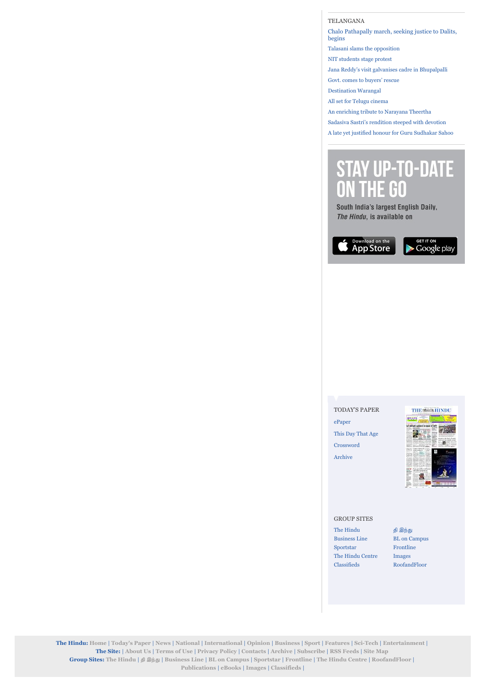[TELANGANA](http://www.thehindu.com/news/national/telangana/)

[Chalo Pathapally march, seeking justice to Dalits,](http://www.thehindu.com/news/national/telangana/long-march-seeking-justice-to-dalits-begins/article7507397.ece) begins [Talasani slams the opposition](http://www.thehindu.com/news/national/telangana/talasani-slams-the-opposition/article7507509.ece) [NIT students stage protest](http://www.thehindu.com/news/national/telangana/nit-students-stage-protest/article7506275.ece) [Jana Reddy's visit galvanises cadre in Bhupalpalli](http://www.thehindu.com/news/national/telangana/jana-reddys-visit-galvanises-cadre-in-bhupalpalli/article7506277.ece) [Govt. comes to buyers' rescue](http://www.thehindu.com/news/national/telangana/govt-comes-to-buyers-rescue/article7506263.ece) [Destination Warangal](http://www.thehindu.com/features/friday-review/history-and-culture/warangals-cultural-heritage-set-to-get-a-boost-under-hriday-project/article7507399.ece) [All set for Telugu cinema](http://www.thehindu.com/features/friday-review/theatre-trained-actor-chaswa-to-make-his-debut-in-hora-hori/article7507783.ece)

[An enriching tribute to Narayana Theertha](http://www.thehindu.com/features/friday-review/music/sumitra-vasudeva-pays-tribute-to-narayana-theertha-on-440th-anniversary/article7507408.ece)

[Sadasiva Sastri's rendition steeped with devotion](http://www.thehindu.com/features/friday-review/music/vocalist-sadasiva-sastris-two-hour-concert-renders-nearly-20-bhakti-kirtanas/article7507400.ece)

[A late yet justified honour for Guru Sudhakar Sahoo](http://www.thehindu.com/features/friday-review/dance/guru-sudhakhar-sahoo-presented-with-sangeet-natak-akademi-award/article7507405.ece)

# **STAY UP-TO-DATE** THE GO

South India's largest English Daily. The Hindu, is available on



[TODAY'S PAPER](http://www.thehindu.com/todays-paper/)

[ePaper](http://epaper.thehindu.com/) [This Day That Age](http://www.thehindu.com/todays-paper/tp-miscellaneous/) [Crossword](http://www.thehindu.com/todays-paper/tp-miscellaneous/) [Archive](http://www.thehindu.com/archive/)



#### GROUP SITES

[The Hindu](http://www.thehindu.com/) தி இந்து [Business Line](http://www.thehindubusinessline.com/) [BL on Campus](http://www.bloncampus.com/) [Sportstar](http://www.sportstaronnet.com/) [Frontline](http://www.frontline.in/) [The Hindu Centre](http://www.thehinducentre.com/) [Images](http://www.thehinduimages.com/) [Classifieds](http://www.thehinduclassifieds.in/) [RoofandFloor](http://www.roofandfloor.com/?utm_source=thehindu&utm_medium=Side-widget&utm_campaign=Internal-Marketing)

**The Hindu: [Home](http://www.thehindu.com/)** | **[Today's Paper](http://www.thehindu.com/todays-paper/)** | **[News](http://www.thehindu.com/news/)** | **[National](http://www.thehindu.com/news/national/)** | **[International](http://www.thehindu.com/news/international/)** | **[Opinion](http://www.thehindu.com/opinion/)** | **[Business](http://www.thehindu.com/business/)** | **[Sport](http://www.thehindu.com/sport/)** | **[Features](http://www.thehindu.com/features/)** | **[Sci-Tech](http://www.thehindu.com/sci-tech/)** | **[Entertainment](http://www.thehindu.com/entertainment/)** | **The Site:** | **[About Us](http://www.thehindu.com/navigation/?type=static&page=aboutus)** | **[Terms of Use](http://www.thehindu.com/navigation/?type=static&page=termsofuse)** | **[Privacy Policy](http://www.thehindu.com/navigation/?type=static&page=privacypolicy)** | **[Contacts](http://www.thehindu.com/navigation/?type=static&page=contact)** | **[Archive](http://www.thehindu.com/archive/)** | **[Subscribe](http://www.thehindugroup.in/subscribe/)** | **[RSS Feeds](http://www.thehindu.com/navigation/?type=rss)** | **[Site Map](http://www.thehindu.com/navigation/?type=sitemap) Group Sites: [The Hindu](http://www.thehindu.com/)** | **! [இn\\$](http://tamil.thehindu.com/)** | **[Business Line](http://www.thehindubusinessline.com/)** | **[BL on Campus](http://www.bloncampus.com/)** | **[Sportstar](http://www.sportstaronnet.com/)** | **[Frontline](http://www.frontline.in/)** | **[The Hindu Centre](http://www.thehinducentre.com/)** | **[RoofandFloor](http://www.roofandfloor.com/?utm_source=thehindu&utm_medium=footer&utm_campaign=Internal-Marketing)** | **[Publications](http://www.thehindu.com/publications/)** | **[eBooks](http://www.thehindu.com/ebooks/)** | **[Images](http://www.thehinduimages.com/)** | **[Classifieds](http://www.thehinduclassifieds.in/)** |